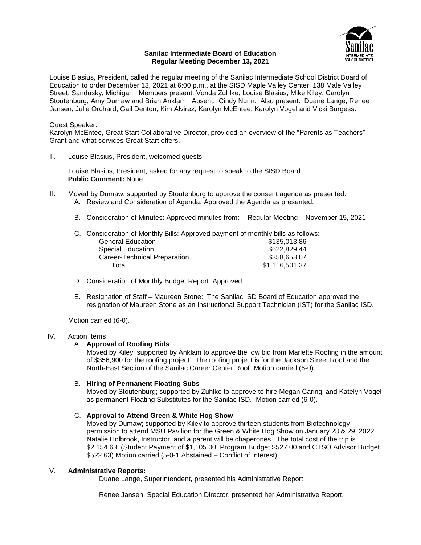### **Sanilac Intermediate Board of Education Regular Meeting December 13, 2021**



Louise Blasius, President, called the regular meeting of the Sanilac Intermediate School District Board of Education to order December 13, 2021 at 6:00 p.m., at the SISD Maple Valley Center, 138 Male Valley Street, Sandusky, Michigan. Members present: Vonda Zuhlke, Louise Blasius, Mike Kiley, Carolyn Stoutenburg, Amy Dumaw and Brian Anklam. Absent: Cindy Nunn. Also present: Duane Lange, Renee Jansen, Julie Orchard, Gail Denton, Kim Alvirez, Karolyn McEntee, Karolyn Vogel and Vicki Burgess.

# Guest Speaker:

Karolyn McEntee, Great Start Collaborative Director, provided an overview of the "Parents as Teachers" Grant and what services Great Start offers.

II. Louise Blasius, President, welcomed guests.

Louise Blasius, President, asked for any request to speak to the SISD Board. **Public Comment:** None

- III. Moved by Dumaw; supported by Stoutenburg to approve the consent agenda as presented. A. Review and Consideration of Agenda: Approved the Agenda as presented.
	- B. Consideration of Minutes: Approved minutes from: Regular Meeting November 15, 2021
	- C. Consideration of Monthly Bills: Approved payment of monthly bills as follows: General Education \$135.013.86

| <b>Special Education</b>     | \$622,829.44   |
|------------------------------|----------------|
| Career-Technical Preparation | \$358,658.07   |
| Total                        | \$1,116,501.37 |

- D. Consideration of Monthly Budget Report: Approved.
- E. Resignation of Staff Maureen Stone: The Sanilac ISD Board of Education approved the resignation of Maureen Stone as an Instructional Support Technician (IST) for the Sanilac ISD.

Motion carried (6-0).

# IV. Action Items

#### A. **Approval of Roofing Bids**

Moved by Kiley; supported by Anklam to approve the low bid from Marlette Roofing in the amount of \$356,900 for the roofing project. The roofing project is for the Jackson Street Roof and the North-East Section of the Sanilac Career Center Roof. Motion carried (6-0).

#### B. **Hiring of Permanent Floating Subs**

Moved by Stoutenburg; supported by Zuhlke to approve to hire Megan Caringi and Katelyn Vogel as permanent Floating Substitutes for the Sanilac ISD. Motion carried (6-0).

#### C. **Approval to Attend Green & White Hog Show**

Moved by Dumaw; supported by Kiley to approve thirteen students from Biotechnology permission to attend MSU Pavilion for the Green & White Hog Show on January 28 & 29, 2022. Natalie Holbrook, Instructor, and a parent will be chaperones. The total cost of the trip is \$2,154.63. (Student Payment of \$1,105.00, Program Budget \$527.00 and CTSO Advisor Budget \$522.63) Motion carried (5-0-1 Abstained – Conflict of Interest)

#### V. **Administrative Reports:**

Duane Lange, Superintendent, presented his Administrative Report.

Renee Jansen, Special Education Director, presented her Administrative Report.